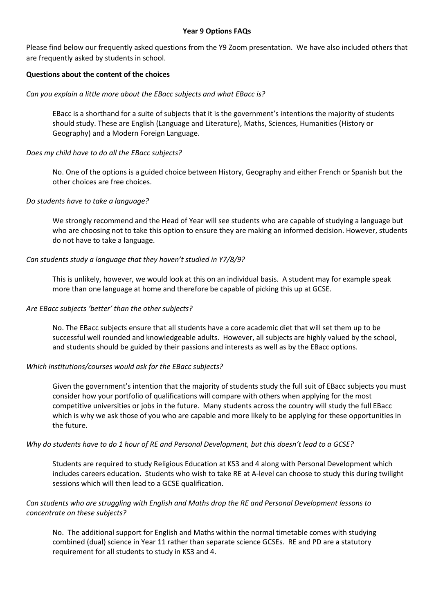#### **Year 9 Options FAQs**

Please find below our frequently asked questions from the Y9 Zoom presentation. We have also included others that are frequently asked by students in school.

## **Questions about the content of the choices**

#### *Can you explain a little more about the EBacc subjects and what EBacc is?*

EBacc is a shorthand for a suite of subjects that it is the government's intentions the majority of students should study. These are English (Language and Literature), Maths, Sciences, Humanities (History or Geography) and a Modern Foreign Language.

## *Does my child have to do all the EBacc subjects?*

No. One of the options is a guided choice between History, Geography and either French or Spanish but the other choices are free choices.

## *Do students have to take a language?*

We strongly recommend and the Head of Year will see students who are capable of studying a language but who are choosing not to take this option to ensure they are making an informed decision. However, students do not have to take a language.

## *Can students study a language that they haven't studied in Y7/8/9?*

This is unlikely, however, we would look at this on an individual basis. A student may for example speak more than one language at home and therefore be capable of picking this up at GCSE.

# *Are EBacc subjects 'better' than the other subjects?*

No. The EBacc subjects ensure that all students have a core academic diet that will set them up to be successful well rounded and knowledgeable adults. However, all subjects are highly valued by the school, and students should be guided by their passions and interests as well as by the EBacc options.

# *Which institutions/courses would ask for the EBacc subjects?*

Given the government's intention that the majority of students study the full suit of EBacc subjects you must consider how your portfolio of qualifications will compare with others when applying for the most competitive universities or jobs in the future. Many students across the country will study the full EBacc which is why we ask those of you who are capable and more likely to be applying for these opportunities in the future.

#### *Why do students have to do 1 hour of RE and Personal Development, but this doesn't lead to a GCSE?*

Students are required to study Religious Education at KS3 and 4 along with Personal Development which includes careers education. Students who wish to take RE at A-level can choose to study this during twilight sessions which will then lead to a GCSE qualification.

# *Can students who are struggling with English and Maths drop the RE and Personal Development lessons to concentrate on these subjects?*

No. The additional support for English and Maths within the normal timetable comes with studying combined (dual) science in Year 11 rather than separate science GCSEs. RE and PD are a statutory requirement for all students to study in KS3 and 4.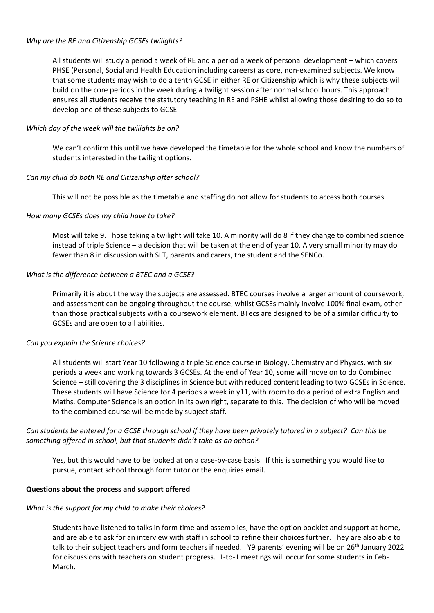#### *Why are the RE and Citizenship GCSEs twilights?*

All students will study a period a week of RE and a period a week of personal development – which covers PHSE (Personal, Social and Health Education including careers) as core, non-examined subjects. We know that some students may wish to do a tenth GCSE in either RE or Citizenship which is why these subjects will build on the core periods in the week during a twilight session after normal school hours. This approach ensures all students receive the statutory teaching in RE and PSHE whilst allowing those desiring to do so to develop one of these subjects to GCSE

# *Which day of the week will the twilights be on?*

We can't confirm this until we have developed the timetable for the whole school and know the numbers of students interested in the twilight options.

## *Can my child do both RE and Citizenship after school?*

This will not be possible as the timetable and staffing do not allow for students to access both courses.

## *How many GCSEs does my child have to take?*

Most will take 9. Those taking a twilight will take 10. A minority will do 8 if they change to combined science instead of triple Science – a decision that will be taken at the end of year 10. A very small minority may do fewer than 8 in discussion with SLT, parents and carers, the student and the SENCo.

## *What is the difference between a BTEC and a GCSE?*

Primarily it is about the way the subjects are assessed. BTEC courses involve a larger amount of coursework, and assessment can be ongoing throughout the course, whilst GCSEs mainly involve 100% final exam, other than those practical subjects with a coursework element. BTecs are designed to be of a similar difficulty to GCSEs and are open to all abilities.

#### *Can you explain the Science choices?*

All students will start Year 10 following a triple Science course in Biology, Chemistry and Physics, with six periods a week and working towards 3 GCSEs. At the end of Year 10, some will move on to do Combined Science – still covering the 3 disciplines in Science but with reduced content leading to two GCSEs in Science. These students will have Science for 4 periods a week in y11, with room to do a period of extra English and Maths. Computer Science is an option in its own right, separate to this. The decision of who will be moved to the combined course will be made by subject staff.

## *Can students be entered for a GCSE through school if they have been privately tutored in a subject? Can this be something offered in school, but that students didn't take as an option?*

Yes, but this would have to be looked at on a case-by-case basis. If this is something you would like to pursue, contact school through form tutor or the enquiries email.

#### **Questions about the process and support offered**

#### *What is the support for my child to make their choices?*

Students have listened to talks in form time and assemblies, have the option booklet and support at home, and are able to ask for an interview with staff in school to refine their choices further. They are also able to talk to their subject teachers and form teachers if needed. Y9 parents' evening will be on 26<sup>th</sup> January 2022 for discussions with teachers on student progress. 1-to-1 meetings will occur for some students in Feb-March.